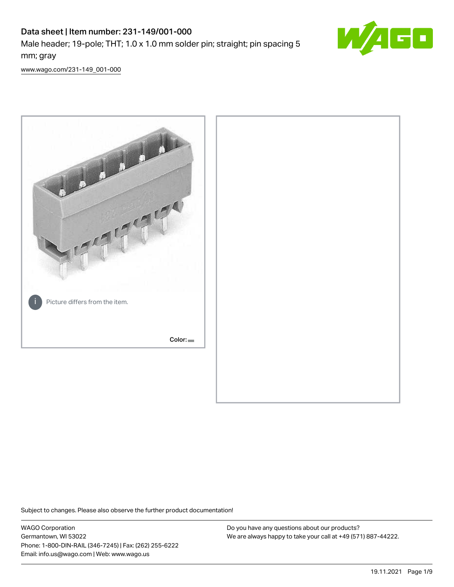# Data sheet | Item number: 231-149/001-000 Male header; 19-pole; THT; 1.0 x 1.0 mm solder pin; straight; pin spacing 5 mm; gray



[www.wago.com/231-149\\_001-000](http://www.wago.com/231-149_001-000)



Subject to changes. Please also observe the further product documentation!

WAGO Corporation Germantown, WI 53022 Phone: 1-800-DIN-RAIL (346-7245) | Fax: (262) 255-6222 Email: info.us@wago.com | Web: www.wago.us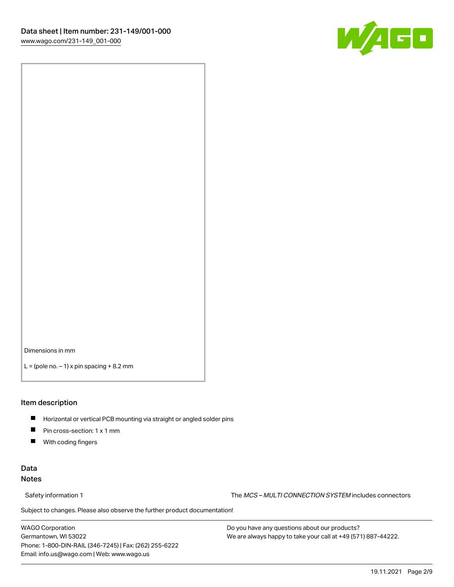

Dimensions in mm

 $L =$  (pole no.  $-1$ ) x pin spacing  $+8.2$  mm

#### Item description

- **Horizontal or vertical PCB mounting via straight or angled solder pins**
- **Pin cross-section: 1 x 1 mm**
- $\blacksquare$ With coding fingers

# Data Notes

Safety information 1 The MCS – MULTI CONNECTION SYSTEM includes connectors

Subject to changes. Please also observe the further product documentation!  $\nu$ 

WAGO Corporation Germantown, WI 53022 Phone: 1-800-DIN-RAIL (346-7245) | Fax: (262) 255-6222 Email: info.us@wago.com | Web: www.wago.us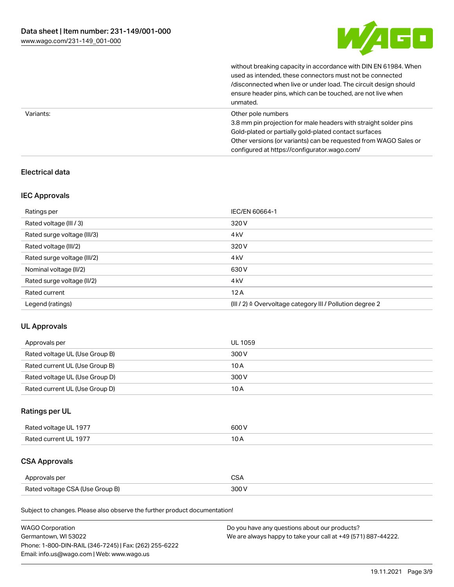

|           | without breaking capacity in accordance with DIN EN 61984. When<br>used as intended, these connectors must not be connected<br>/disconnected when live or under load. The circuit design should<br>ensure header pins, which can be touched, are not live when<br>unmated. |
|-----------|----------------------------------------------------------------------------------------------------------------------------------------------------------------------------------------------------------------------------------------------------------------------------|
| Variants: | Other pole numbers<br>3.8 mm pin projection for male headers with straight solder pins<br>Gold-plated or partially gold-plated contact surfaces<br>Other versions (or variants) can be requested from WAGO Sales or<br>configured at https://configurator.wago.com/        |

# Electrical data

# IEC Approvals

| Ratings per                 | IEC/EN 60664-1                                            |
|-----------------------------|-----------------------------------------------------------|
| Rated voltage (III / 3)     | 320 V                                                     |
| Rated surge voltage (III/3) | 4 <sub>k</sub> V                                          |
| Rated voltage (III/2)       | 320 V                                                     |
| Rated surge voltage (III/2) | 4 <sub>k</sub> V                                          |
| Nominal voltage (II/2)      | 630 V                                                     |
| Rated surge voltage (II/2)  | 4 <sub>k</sub> V                                          |
| Rated current               | 12A                                                       |
| Legend (ratings)            | (III / 2) ≙ Overvoltage category III / Pollution degree 2 |

# UL Approvals

| Approvals per                  | UL 1059 |
|--------------------------------|---------|
| Rated voltage UL (Use Group B) | 300 V   |
| Rated current UL (Use Group B) | 10 A    |
| Rated voltage UL (Use Group D) | 300 V   |
| Rated current UL (Use Group D) | 10 A    |

# Ratings per UL

| Rated voltage UL 1977 | 600V   |
|-----------------------|--------|
| Rated current UL 1977 | $\sim$ |

# CSA Approvals

| Approvals per                   | ~~    |
|---------------------------------|-------|
| Rated voltage CSA (Use Group B) | 3UU 1 |

Subject to changes. Please also observe the further product documentation!

| <b>WAGO Corporation</b>                                | Do you have any questions about our products?                 |
|--------------------------------------------------------|---------------------------------------------------------------|
| Germantown, WI 53022                                   | We are always happy to take your call at +49 (571) 887-44222. |
| Phone: 1-800-DIN-RAIL (346-7245)   Fax: (262) 255-6222 |                                                               |
| Email: info.us@wago.com   Web: www.wago.us             |                                                               |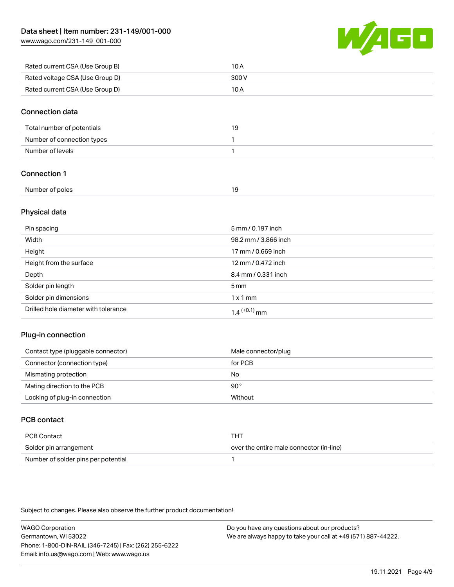[www.wago.com/231-149\\_001-000](http://www.wago.com/231-149_001-000)



| Rated current CSA (Use Group B) | 10 A  |
|---------------------------------|-------|
| Rated voltage CSA (Use Group D) | 300 V |
| Rated current CSA (Use Group D) | 10 A  |

#### Connection data

| Total number of potentials | - 1 |
|----------------------------|-----|
| Number of connection types |     |
| Number of levels           |     |

# Connection 1

| Number of poles |  |
|-----------------|--|
|                 |  |

# Physical data

| Pin spacing                          | 5 mm / 0.197 inch    |
|--------------------------------------|----------------------|
| Width                                | 98.2 mm / 3.866 inch |
| Height                               | 17 mm / 0.669 inch   |
| Height from the surface              | 12 mm / 0.472 inch   |
| Depth                                | 8.4 mm / 0.331 inch  |
| Solder pin length                    | $5 \,\mathrm{mm}$    |
| Solder pin dimensions                | $1 \times 1$ mm      |
| Drilled hole diameter with tolerance | $1.4$ $(+0.1)$ mm    |

# Plug-in connection

| Contact type (pluggable connector) | Male connector/plug |
|------------------------------------|---------------------|
| Connector (connection type)        | for PCB             |
| Mismating protection               | No                  |
| Mating direction to the PCB        | $90^{\circ}$        |
| Locking of plug-in connection      | Without             |

# PCB contact

| PCB Contact                         | тнт                                      |
|-------------------------------------|------------------------------------------|
| Solder pin arrangement              | over the entire male connector (in-line) |
| Number of solder pins per potential |                                          |

Subject to changes. Please also observe the further product documentation!

WAGO Corporation Germantown, WI 53022 Phone: 1-800-DIN-RAIL (346-7245) | Fax: (262) 255-6222 Email: info.us@wago.com | Web: www.wago.us Do you have any questions about our products? We are always happy to take your call at +49 (571) 887-44222.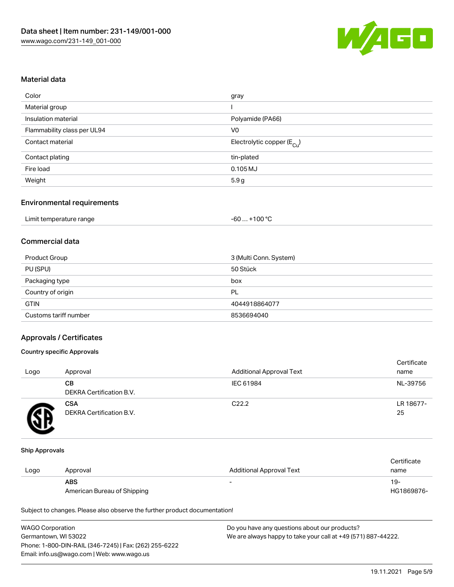

# Material data

| Color                       | gray                                    |
|-----------------------------|-----------------------------------------|
| Material group              |                                         |
| Insulation material         | Polyamide (PA66)                        |
| Flammability class per UL94 | V <sub>0</sub>                          |
| Contact material            | Electrolytic copper ( $E_{\text{Cu}}$ ) |
| Contact plating             | tin-plated                              |
| Fire load                   | $0.105$ MJ                              |
| Weight                      | 5.9g                                    |

# Environmental requirements

| Limit temperature range | $+100 °C$<br>-60 |
|-------------------------|------------------|
|-------------------------|------------------|

# Commercial data

| Product Group         | 3 (Multi Conn. System) |
|-----------------------|------------------------|
| PU (SPU)              | 50 Stück               |
| Packaging type        | box                    |
| Country of origin     | PL                     |
| <b>GTIN</b>           | 4044918864077          |
| Customs tariff number | 8536694040             |

#### Approvals / Certificates

#### Country specific Approvals

| Logo | Approval                               | <b>Additional Approval Text</b> | Certificate<br>name |
|------|----------------------------------------|---------------------------------|---------------------|
|      | CВ<br>DEKRA Certification B.V.         | IEC 61984                       | NL-39756            |
|      | <b>CSA</b><br>DEKRA Certification B.V. | C <sub>22.2</sub>               | LR 18677-<br>25     |

#### Ship Approvals

|      |                             |                                 | Certificate |
|------|-----------------------------|---------------------------------|-------------|
| Logo | Approval                    | <b>Additional Approval Text</b> | name        |
|      | <b>ABS</b>                  | -                               | 19-         |
|      | American Bureau of Shipping |                                 | HG1869876-  |

Subject to changes. Please also observe the further product documentation!

| <b>WAGO Corporation</b>                                | Do you have any questions about our products?                 |
|--------------------------------------------------------|---------------------------------------------------------------|
| Germantown, WI 53022                                   | We are always happy to take your call at +49 (571) 887-44222. |
| Phone: 1-800-DIN-RAIL (346-7245)   Fax: (262) 255-6222 |                                                               |
| Email: info.us@wago.com   Web: www.wago.us             |                                                               |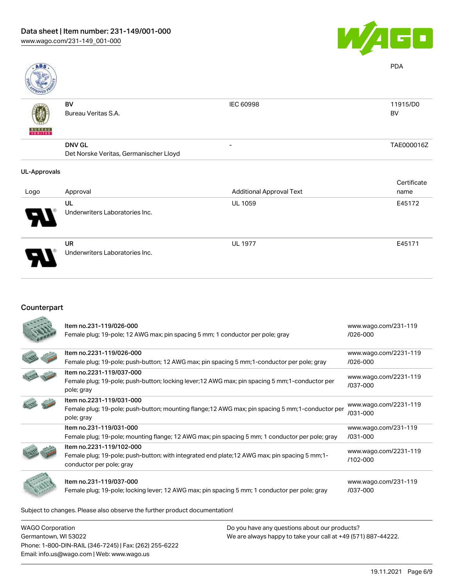

| ABS                 |                                        |                                 | <b>PDA</b>  |
|---------------------|----------------------------------------|---------------------------------|-------------|
|                     | BV                                     | <b>IEC 60998</b>                | 11915/D0    |
|                     | Bureau Veritas S.A.                    |                                 | BV          |
| <b>BUREAU</b>       |                                        |                                 |             |
|                     | <b>DNV GL</b>                          | $\overline{\phantom{a}}$        | TAE000016Z  |
|                     | Det Norske Veritas, Germanischer Lloyd |                                 |             |
| <b>UL-Approvals</b> |                                        |                                 |             |
|                     |                                        |                                 | Certificate |
| Logo                | Approval                               | <b>Additional Approval Text</b> | name        |
|                     | UL                                     | UL 1059                         | E45172      |
|                     | Underwriters Laboratories Inc.         |                                 |             |

. .

UR Underwriters Laboratories Inc.

# Counterpart

| Item no.231-119/026-000<br>Female plug; 19-pole; 12 AWG max; pin spacing 5 mm; 1 conductor per pole; gray | www.wago.com/231-119<br>$/026 - 000$ |
|-----------------------------------------------------------------------------------------------------------|--------------------------------------|
| Item no.2231-119/026-000                                                                                  | www.wago.com/2231-119                |
| Female plug; 19-pole; push-button; 12 AWG max; pin spacing 5 mm; 1-conductor per pole; gray               | $/026 - 000$                         |
| Item no.2231-119/037-000                                                                                  | www.wago.com/2231-119                |
| Female plug; 19-pole; push-button; locking lever; 12 AWG max; pin spacing 5 mm; 1-conductor per           | /037-000                             |
| pole; gray                                                                                                |                                      |
| Item no.2231-119/031-000                                                                                  | www.wago.com/2231-119                |
| Female plug; 19-pole; push-button; mounting flange; 12 AWG max; pin spacing 5 mm; 1-conductor per         | /031-000                             |
| pole; gray                                                                                                |                                      |
| Item no.231-119/031-000                                                                                   | www.wago.com/231-119                 |
| Female plug; 19-pole; mounting flange; 12 AWG max; pin spacing 5 mm; 1 conductor per pole; gray           | /031-000                             |
| Item no.2231-119/102-000                                                                                  | www.wago.com/2231-119                |
| Female plug; 19-pole; push-button; with integrated end plate; 12 AWG max; pin spacing 5 mm; 1-            | /102-000                             |
| conductor per pole; gray                                                                                  |                                      |
|                                                                                                           |                                      |
| Item no.231-119/037-000                                                                                   | www.wago.com/231-119                 |
| Female plug; 19-pole; locking lever; 12 AWG max; pin spacing 5 mm; 1 conductor per pole; gray             | /037-000                             |
|                                                                                                           |                                      |

Subject to changes. Please also observe the further product documentation!

WAGO Corporation Germantown, WI 53022 Phone: 1-800-DIN-RAIL (346-7245) | Fax: (262) 255-6222 Email: info.us@wago.com | Web: www.wago.us

Do you have any questions about our products? We are always happy to take your call at +49 (571) 887-44222.

UL 1977 E45171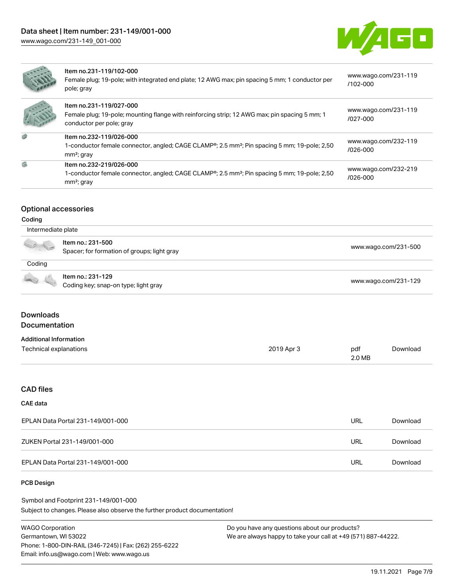Item no.232-219/026-000



| Item no.231-119/102-000<br>Female plug; 19-pole; with integrated end plate; 12 AWG max; pin spacing 5 mm; 1 conductor per<br>pole; gray              |
|------------------------------------------------------------------------------------------------------------------------------------------------------|
| Item no.231-119/027-000<br>Female plug; 19-pole; mounting flange with reinforcing strip; 12 AWG max; pin spacing 5 mm; 1<br>conductor per pole; gray |
| Item no.232-119/026-000<br>1-conductor female connector, angled; CAGE CLAMP®; 2.5 mm <sup>2</sup> ; Pin spacing 5 mm; 19-pole; 2,50<br>$mm2$ ; gray  |

| www.wago.com/231-119 |  |
|----------------------|--|
| /102-000             |  |

| www.wago.com/231-119 |  |
|----------------------|--|
| /027-000             |  |
|                      |  |

| www.wago.com/232-119 |  |
|----------------------|--|
| /026-000             |  |

[www.wago.com/232-219](https://www.wago.com/232-219/026-000) [/026-000](https://www.wago.com/232-219/026-000)

#### Optional accessories

mm²; gray

| ıaın<br>ıτ |  |
|------------|--|
|------------|--|

Ø.

| Intermediate plate |                                                                  |                      |  |
|--------------------|------------------------------------------------------------------|----------------------|--|
|                    | Item no.: 231-500<br>Spacer; for formation of groups; light gray | www.wago.com/231-500 |  |
| Coding             |                                                                  |                      |  |
|                    | Item no.: 231-129<br>Coding key; snap-on type; light gray        | www.wago.com/231-129 |  |

1-conductor female connector, angled; CAGE CLAMP®; 2.5 mm²; Pin spacing 5 mm; 19-pole; 2,50

#### **Downloads** Documentation

| <b>Additional Information</b> |            |        |          |
|-------------------------------|------------|--------|----------|
| Technical explanations        | 2019 Apr 3 | pdf    | Download |
|                               |            | 2.0 MB |          |

#### CAD files

#### CAE data

| EPLAN Data Portal 231-149/001-000 | URL | Download |
|-----------------------------------|-----|----------|
| ZUKEN Portal 231-149/001-000      | URL | Download |
| EPLAN Data Portal 231-149/001-000 | URL | Download |

#### PCB Design

Subject to changes. Please also observe the further product documentation! Symbol and Footprint 231-149/001-000

WAGO Corporation Germantown, WI 53022 Phone: 1-800-DIN-RAIL (346-7245) | Fax: (262) 255-6222 Email: info.us@wago.com | Web: www.wago.us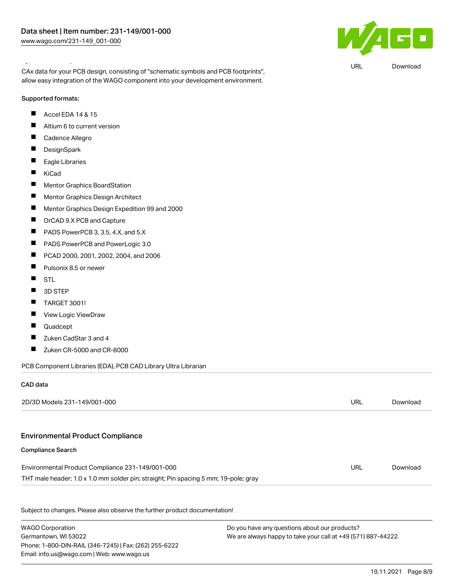# $\blacksquare$

URL [Download](https://www.wago.com/global/d/UltraLibrarian_URLS_231-149_001-000)

#### Symbol and Footprint 231-149/001-000

CAx data for your PCB design, consisting of "schematic symbols and PCB footprints", allow easy integration of the WAGO component into your development environment.

#### Supported formats:

- $\blacksquare$ Accel EDA 14 & 15
- $\blacksquare$ Altium 6 to current version
- $\blacksquare$ Cadence Allegro
- $\blacksquare$ **DesignSpark**
- $\blacksquare$ Eagle Libraries
- $\blacksquare$ KiCad
- $\blacksquare$ Mentor Graphics BoardStation
- $\blacksquare$ Mentor Graphics Design Architect
- $\blacksquare$ Mentor Graphics Design Expedition 99 and 2000
- $\blacksquare$ OrCAD 9.X PCB and Capture
- $\blacksquare$ PADS PowerPCB 3, 3.5, 4.X, and 5.X
- $\blacksquare$ PADS PowerPCB and PowerLogic 3.0
- $\blacksquare$ PCAD 2000, 2001, 2002, 2004, and 2006
- $\blacksquare$ Pulsonix 8.5 or newer
- $\blacksquare$ STL
- $\blacksquare$ 3D STEP
- $\blacksquare$ TARGET 3001!
- $\blacksquare$ View Logic ViewDraw
- $\blacksquare$ Quadcept
- $\blacksquare$ Zuken CadStar 3 and 4
- $\blacksquare$ Zuken CR-5000 and CR-8000

PCB Component Libraries (EDA), PCB CAD Library Ultra Librarian

#### CAD data

| 2D/3D Models 231-149/001-000                                                        | URL                                             | Download |
|-------------------------------------------------------------------------------------|-------------------------------------------------|----------|
|                                                                                     |                                                 |          |
| <b>Environmental Product Compliance</b>                                             |                                                 |          |
| <b>Compliance Search</b>                                                            |                                                 |          |
| Environmental Product Compliance 231-149/001-000                                    | URL                                             | Download |
| THT male header; 1.0 x 1.0 mm solder pin; straight; Pin spacing 5 mm; 19-pole; gray |                                                 |          |
| Subject to changes. Please also observe the further product documentation!          |                                                 |          |
| $MADO$ Carneration                                                                  | $Dayson$ boys any questions about our products? |          |

WAGO Corporation Germantown, WI 53022 Phone: 1-800-DIN-RAIL (346-7245) | Fax: (262) 255-6222 Email: info.us@wago.com | Web: www.wago.us